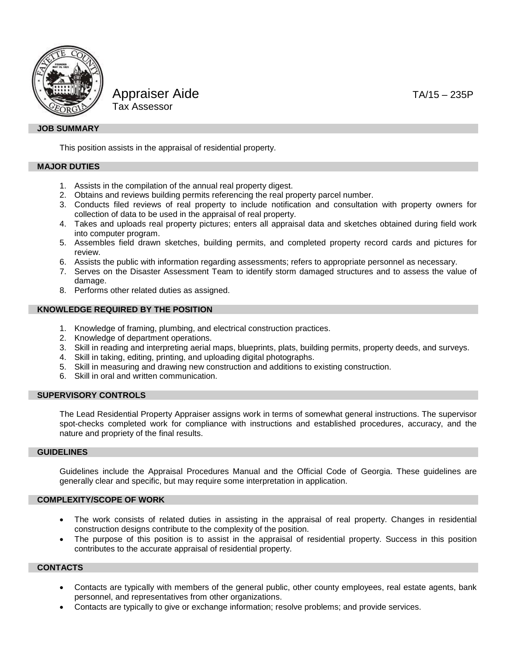

Appraiser Aide TA/15 – 235P Tax Assessor

## **JOB SUMMARY**

This position assists in the appraisal of residential property.

## **MAJOR DUTIES**

- 1. Assists in the compilation of the annual real property digest.
- 2. Obtains and reviews building permits referencing the real property parcel number.
- 3. Conducts filed reviews of real property to include notification and consultation with property owners for collection of data to be used in the appraisal of real property.
- 4. Takes and uploads real property pictures; enters all appraisal data and sketches obtained during field work into computer program.
- 5. Assembles field drawn sketches, building permits, and completed property record cards and pictures for review.
- 6. Assists the public with information regarding assessments; refers to appropriate personnel as necessary.
- 7. Serves on the Disaster Assessment Team to identify storm damaged structures and to assess the value of damage.
- 8. Performs other related duties as assigned.

# **KNOWLEDGE REQUIRED BY THE POSITION**

- 1. Knowledge of framing, plumbing, and electrical construction practices.
- 2. Knowledge of department operations.
- 3. Skill in reading and interpreting aerial maps, blueprints, plats, building permits, property deeds, and surveys.
- 4. Skill in taking, editing, printing, and uploading digital photographs.
- 5. Skill in measuring and drawing new construction and additions to existing construction.
- 6. Skill in oral and written communication.

# **SUPERVISORY CONTROLS**

The Lead Residential Property Appraiser assigns work in terms of somewhat general instructions. The supervisor spot-checks completed work for compliance with instructions and established procedures, accuracy, and the nature and propriety of the final results.

## **GUIDELINES**

Guidelines include the Appraisal Procedures Manual and the Official Code of Georgia. These guidelines are generally clear and specific, but may require some interpretation in application.

#### **COMPLEXITY/SCOPE OF WORK**

- The work consists of related duties in assisting in the appraisal of real property. Changes in residential construction designs contribute to the complexity of the position.
- The purpose of this position is to assist in the appraisal of residential property. Success in this position contributes to the accurate appraisal of residential property.

# **CONTACTS**

- Contacts are typically with members of the general public, other county employees, real estate agents, bank personnel, and representatives from other organizations.
- Contacts are typically to give or exchange information; resolve problems; and provide services.